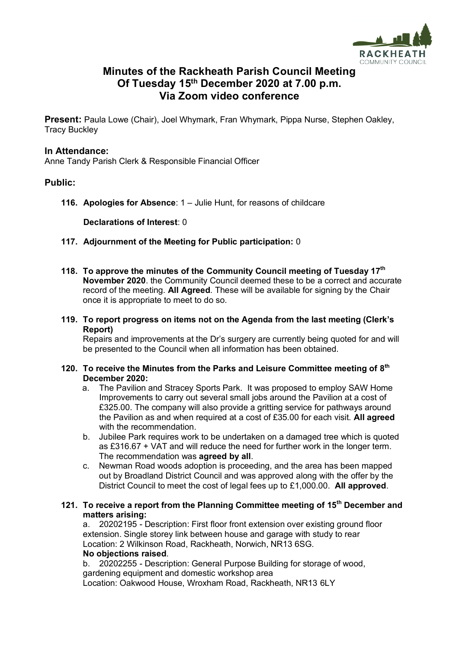

## **Minutes of the Rackheath Parish Council Meeting Of Tuesday 15 th December 2020 at 7.00 p.m. Via Zoom video conference**

**Present:** Paula Lowe (Chair), Joel Whymark, Fran Whymark, Pippa Nurse, Stephen Oakley, Tracy Buckley

#### **In Attendance:**

Anne Tandy Parish Clerk & Responsible Financial Officer

#### **Public:**

**116. Apologies for Absence**: 1 – Julie Hunt, for reasons of childcare

**Declarations of Interest**: 0

- **117. Adjournment of the Meeting for Public participation:** 0
- **118. To approve the minutes of the Community Council meeting of Tuesday 17th November 2020**. the Community Council deemed these to be a correct and accurate record of the meeting. **All Agreed**. These will be available for signing by the Chair once it is appropriate to meet to do so.
- **119. To report progress on items not on the Agenda from the last meeting (Clerk's Report)**

Repairs and improvements at the Dr's surgery are currently being quoted for and will be presented to the Council when all information has been obtained.

#### **120. To receive the Minutes from the Parks and Leisure Committee meeting of 8 th December 2020:**

- a. The Pavilion and Stracey Sports Park. It was proposed to employ SAW Home Improvements to carry out several small jobs around the Pavilion at a cost of £325.00. The company will also provide a gritting service for pathways around the Pavilion as and when required at a cost of £35.00 for each visit. **All agreed** with the recommendation.
- b. Jubilee Park requires work to be undertaken on a damaged tree which is quoted as £316.67 + VAT and will reduce the need for further work in the longer term. The recommendation was **agreed by all**.
- c. Newman Road woods adoption is proceeding, and the area has been mapped out by Broadland District Council and was approved along with the offer by the District Council to meet the cost of legal fees up to £1,000.00. **All approved**.

#### **121. To receive a report from the Planning Committee meeting of 15th December and matters arising:**

a. 20202195 - Description: First floor front extension over existing ground floor extension. Single storey link between house and garage with study to rear Location: 2 Wilkinson Road, Rackheath, Norwich, NR13 6SG. **No objections raised**.

b. 20202255 - Description: General Purpose Building for storage of wood, gardening equipment and domestic workshop area Location: Oakwood House, Wroxham Road, Rackheath, NR13 6LY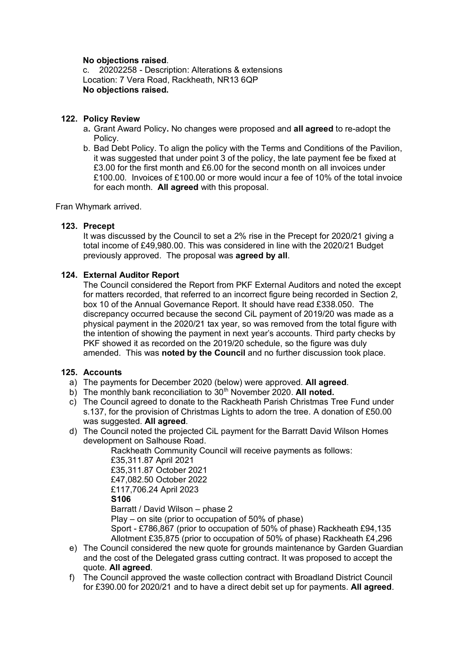#### **No objections raised**.

c. 20202258 - Description: Alterations & extensions Location: 7 Vera Road, Rackheath, NR13 6QP **No objections raised.**

#### **122. Policy Review**

- a**.** Grant Award Policy**.** No changes were proposed and **all agreed** to re-adopt the Policy.
- b. Bad Debt Policy. To align the policy with the Terms and Conditions of the Pavilion, it was suggested that under point 3 of the policy, the late payment fee be fixed at £3.00 for the first month and £6.00 for the second month on all invoices under £100.00. Invoices of £100.00 or more would incur a fee of 10% of the total invoice for each month. **All agreed** with this proposal.

Fran Whymark arrived.

#### **123. Precept**

It was discussed by the Council to set a 2% rise in the Precept for 2020/21 giving a total income of £49,980.00. This was considered in line with the 2020/21 Budget previously approved. The proposal was **agreed by all**.

#### **124. External Auditor Report**

The Council considered the Report from PKF External Auditors and noted the except for matters recorded, that referred to an incorrect figure being recorded in Section 2, box 10 of the Annual Governance Report. It should have read £338.050. The discrepancy occurred because the second CiL payment of 2019/20 was made as a physical payment in the 2020/21 tax year, so was removed from the total figure with the intention of showing the payment in next year's accounts. Third party checks by PKF showed it as recorded on the 2019/20 schedule, so the figure was duly amended. This was **noted by the Council** and no further discussion took place.

#### **125. Accounts**

- a) The payments for December 2020 (below) were approved. **All agreed**.
- b) The monthly bank reconciliation to 30<sup>th</sup> November 2020. All noted.
- c) The Council agreed to donate to the Rackheath Parish Christmas Tree Fund under s.137, for the provision of Christmas Lights to adorn the tree. A donation of £50.00 was suggested. **All agreed**.
- d) The Council noted the projected CiL payment for the Barratt David Wilson Homes development on Salhouse Road.

Rackheath Community Council will receive payments as follows:

£35,311.87 April 2021 £35,311.87 October 2021 £47,082.50 October 2022 £117,706.24 April 2023 **S106** Barratt / David Wilson – phase 2 Play – on site (prior to occupation of 50% of phase) Sport - £786,867 (prior to occupation of 50% of phase) Rackheath £94,135 Allotment £35,875 (prior to occupation of 50% of phase) Rackheath £4,296

- e) The Council considered the new quote for grounds maintenance by Garden Guardian and the cost of the Delegated grass cutting contract. It was proposed to accept the quote. **All agreed**.
- f) The Council approved the waste collection contract with Broadland District Council for £390.00 for 2020/21 and to have a direct debit set up for payments. **All agreed**.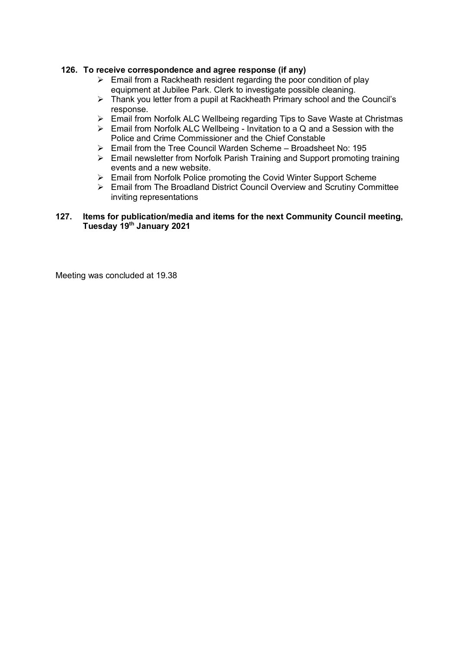### **126. To receive correspondence and agree response (if any)**

- $\triangleright$  Email from a Rackheath resident regarding the poor condition of play equipment at Jubilee Park. Clerk to investigate possible cleaning.
- ➢ Thank you letter from a pupil at Rackheath Primary school and the Council's response.
- ➢ Email from Norfolk ALC Wellbeing regarding Tips to Save Waste at Christmas
- ➢ Email from Norfolk ALC Wellbeing Invitation to a Q and a Session with the Police and Crime Commissioner and the Chief Constable
- ➢ Email from the Tree Council Warden Scheme Broadsheet No: 195
- ➢ Email newsletter from Norfolk Parish Training and Support promoting training events and a new website.
- ➢ Email from Norfolk Police promoting the Covid Winter Support Scheme
- ➢ Email from The Broadland District Council Overview and Scrutiny Committee inviting representations

#### **127. Items for publication/media and items for the next Community Council meeting, Tuesday 19th January 2021**

Meeting was concluded at 19.38